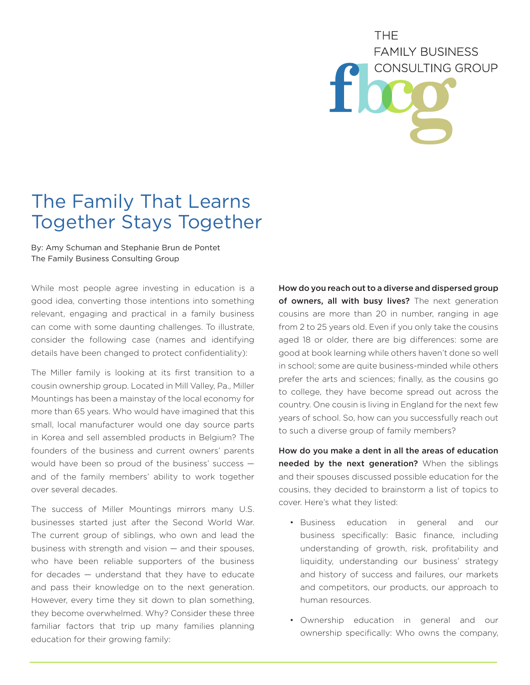# THE. **FAMILY BUSINESS CONSULTING GROUP**

# The Family That Learns Together Stays Together

By: Amy Schuman and Stephanie Brun de Pontet The Family Business Consulting Group

While most people agree investing in education is a good idea, converting those intentions into something relevant, engaging and practical in a family business can come with some daunting challenges. To illustrate, consider the following case (names and identifying details have been changed to protect confidentiality):

The Miller family is looking at its first transition to a cousin ownership group. Located in Mill Valley, Pa., Miller Mountings has been a mainstay of the local economy for more than 65 years. Who would have imagined that this small, local manufacturer would one day source parts in Korea and sell assembled products in Belgium? The founders of the business and current owners' parents would have been so proud of the business' success and of the family members' ability to work together over several decades.

The success of Miller Mountings mirrors many U.S. businesses started just after the Second World War. The current group of siblings, who own and lead the business with strength and vision — and their spouses, who have been reliable supporters of the business for decades — understand that they have to educate and pass their knowledge on to the next generation. However, every time they sit down to plan something, they become overwhelmed. Why? Consider these three familiar factors that trip up many families planning education for their growing family:

How do you reach out to a diverse and dispersed group of owners, all with busy lives? The next generation cousins are more than 20 in number, ranging in age from 2 to 25 years old. Even if you only take the cousins aged 18 or older, there are big differences: some are good at book learning while others haven't done so well in school; some are quite business-minded while others prefer the arts and sciences; finally, as the cousins go to college, they have become spread out across the country. One cousin is living in England for the next few years of school. So, how can you successfully reach out to such a diverse group of family members?

How do you make a dent in all the areas of education needed by the next generation? When the siblings and their spouses discussed possible education for the cousins, they decided to brainstorm a list of topics to cover. Here's what they listed:

- Business education in general and our business specifically: Basic finance, including understanding of growth, risk, profitability and liquidity, understanding our business' strategy and history of success and failures, our markets and competitors, our products, our approach to human resources.
- Ownership education in general and our ownership specifically: Who owns the company,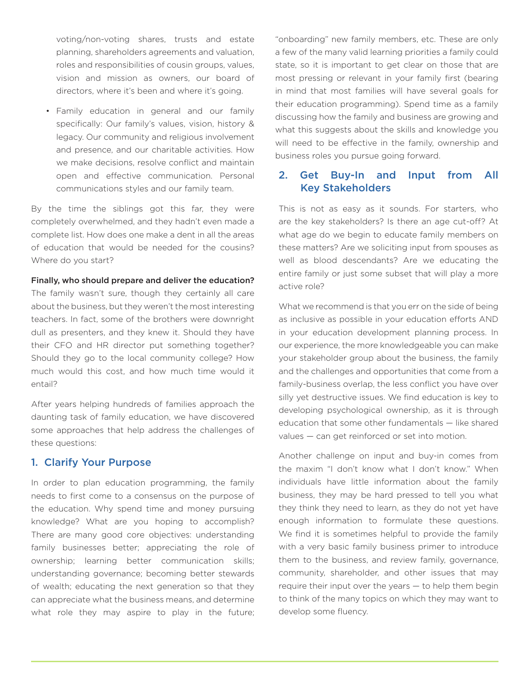voting/non-voting shares, trusts and estate planning, shareholders agreements and valuation, roles and responsibilities of cousin groups, values, vision and mission as owners, our board of directors, where it's been and where it's going.

• Family education in general and our family specifically: Our family's values, vision, history & legacy. Our community and religious involvement and presence, and our charitable activities. How we make decisions, resolve conflict and maintain open and effective communication. Personal communications styles and our family team.

By the time the siblings got this far, they were completely overwhelmed, and they hadn't even made a complete list. How does one make a dent in all the areas of education that would be needed for the cousins? Where do you start?

#### Finally, who should prepare and deliver the education?

The family wasn't sure, though they certainly all care about the business, but they weren't the most interesting teachers. In fact, some of the brothers were downright dull as presenters, and they knew it. Should they have their CFO and HR director put something together? Should they go to the local community college? How much would this cost, and how much time would it entail?

After years helping hundreds of families approach the daunting task of family education, we have discovered some approaches that help address the challenges of these questions:

### 1. Clarify Your Purpose

In order to plan education programming, the family needs to first come to a consensus on the purpose of the education. Why spend time and money pursuing knowledge? What are you hoping to accomplish? There are many good core objectives: understanding family businesses better; appreciating the role of ownership; learning better communication skills; understanding governance; becoming better stewards of wealth; educating the next generation so that they can appreciate what the business means, and determine what role they may aspire to play in the future; "onboarding" new family members, etc. These are only a few of the many valid learning priorities a family could state, so it is important to get clear on those that are most pressing or relevant in your family first (bearing in mind that most families will have several goals for their education programming). Spend time as a family discussing how the family and business are growing and what this suggests about the skills and knowledge you will need to be effective in the family, ownership and business roles you pursue going forward.

# 2. Get Buy-In and Input from All Key Stakeholders

This is not as easy as it sounds. For starters, who are the key stakeholders? Is there an age cut-off? At what age do we begin to educate family members on these matters? Are we soliciting input from spouses as well as blood descendants? Are we educating the entire family or just some subset that will play a more active role?

What we recommend is that you err on the side of being as inclusive as possible in your education efforts AND in your education development planning process. In our experience, the more knowledgeable you can make your stakeholder group about the business, the family and the challenges and opportunities that come from a family-business overlap, the less conflict you have over silly yet destructive issues. We find education is key to developing psychological ownership, as it is through education that some other fundamentals — like shared values — can get reinforced or set into motion.

Another challenge on input and buy-in comes from the maxim "I don't know what I don't know." When individuals have little information about the family business, they may be hard pressed to tell you what they think they need to learn, as they do not yet have enough information to formulate these questions. We find it is sometimes helpful to provide the family with a very basic family business primer to introduce them to the business, and review family, governance, community, shareholder, and other issues that may require their input over the years — to help them begin to think of the many topics on which they may want to develop some fluency.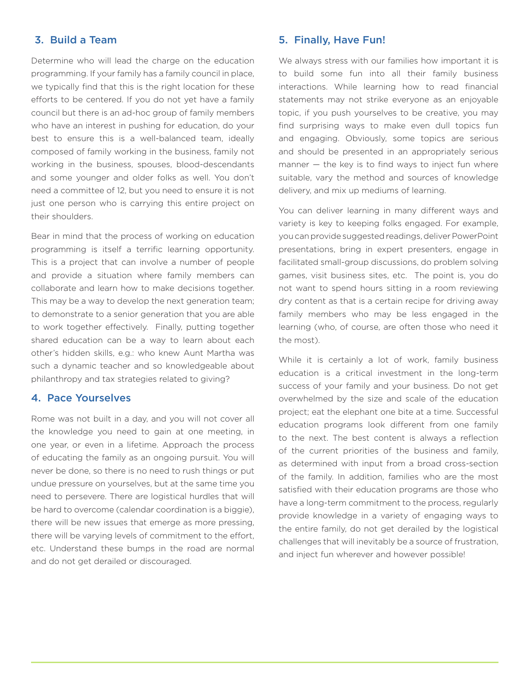# 3. Build a Team

Determine who will lead the charge on the education programming. If your family has a family council in place, we typically find that this is the right location for these efforts to be centered. If you do not yet have a family council but there is an ad-hoc group of family members who have an interest in pushing for education, do your best to ensure this is a well-balanced team, ideally composed of family working in the business, family not working in the business, spouses, blood-descendants and some younger and older folks as well. You don't need a committee of 12, but you need to ensure it is not just one person who is carrying this entire project on their shoulders.

Bear in mind that the process of working on education programming is itself a terrific learning opportunity. This is a project that can involve a number of people and provide a situation where family members can collaborate and learn how to make decisions together. This may be a way to develop the next generation team; to demonstrate to a senior generation that you are able to work together effectively. Finally, putting together shared education can be a way to learn about each other's hidden skills, e.g.: who knew Aunt Martha was such a dynamic teacher and so knowledgeable about philanthropy and tax strategies related to giving?

#### 4. Pace Yourselves

Rome was not built in a day, and you will not cover all the knowledge you need to gain at one meeting, in one year, or even in a lifetime. Approach the process of educating the family as an ongoing pursuit. You will never be done, so there is no need to rush things or put undue pressure on yourselves, but at the same time you need to persevere. There are logistical hurdles that will be hard to overcome (calendar coordination is a biggie), there will be new issues that emerge as more pressing, there will be varying levels of commitment to the effort, etc. Understand these bumps in the road are normal and do not get derailed or discouraged.

#### 5. Finally, Have Fun!

We always stress with our families how important it is to build some fun into all their family business interactions. While learning how to read financial statements may not strike everyone as an enjoyable topic, if you push yourselves to be creative, you may find surprising ways to make even dull topics fun and engaging. Obviously, some topics are serious and should be presented in an appropriately serious manner — the key is to find ways to inject fun where suitable, vary the method and sources of knowledge delivery, and mix up mediums of learning.

You can deliver learning in many different ways and variety is key to keeping folks engaged. For example, you can provide suggested readings, deliver PowerPoint presentations, bring in expert presenters, engage in facilitated small-group discussions, do problem solving games, visit business sites, etc. The point is, you do not want to spend hours sitting in a room reviewing dry content as that is a certain recipe for driving away family members who may be less engaged in the learning (who, of course, are often those who need it the most).

While it is certainly a lot of work, family business education is a critical investment in the long-term success of your family and your business. Do not get overwhelmed by the size and scale of the education project; eat the elephant one bite at a time. Successful education programs look different from one family to the next. The best content is always a reflection of the current priorities of the business and family, as determined with input from a broad cross-section of the family. In addition, families who are the most satisfied with their education programs are those who have a long-term commitment to the process, regularly provide knowledge in a variety of engaging ways to the entire family, do not get derailed by the logistical challenges that will inevitably be a source of frustration, and inject fun wherever and however possible!